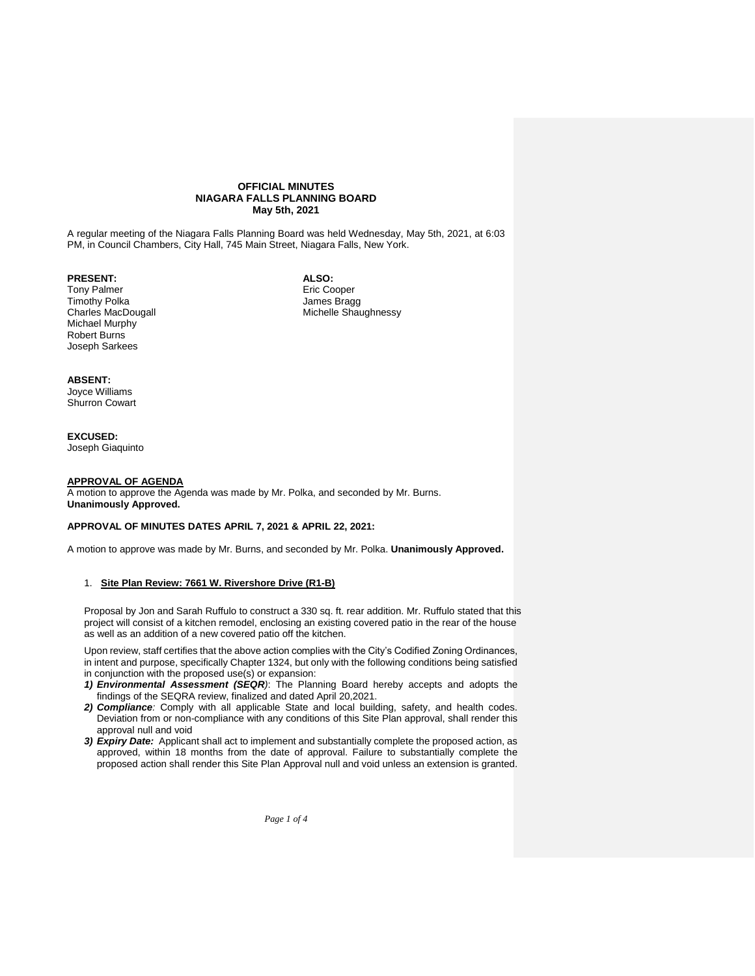#### **OFFICIAL MINUTES NIAGARA FALLS PLANNING BOARD May 5th, 2021**

A regular meeting of the Niagara Falls Planning Board was held Wednesday, May 5th, 2021, at 6:03 PM, in Council Chambers, City Hall, 745 Main Street, Niagara Falls, New York.

**PRESENT:**

Tony Palmer Timothy Polka Charles MacDougall Michael Murphy Robert Burns Joseph Sarkees

**ALSO:** Eric Cooper James Bragg Michelle Shaughnessy

#### **ABSENT:**

Joyce Williams Shurron Cowart

# **EXCUSED:**

Joseph Giaquinto

#### **APPROVAL OF AGENDA**

A motion to approve the Agenda was made by Mr. Polka, and seconded by Mr. Burns. **Unanimously Approved.**

### **APPROVAL OF MINUTES DATES APRIL 7, 2021 & APRIL 22, 2021:**

A motion to approve was made by Mr. Burns, and seconded by Mr. Polka. **Unanimously Approved.**

#### 1. **Site Plan Review: 7661 W. Rivershore Drive (R1-B)**

Proposal by Jon and Sarah Ruffulo to construct a 330 sq. ft. rear addition. Mr. Ruffulo stated that this project will consist of a kitchen remodel, enclosing an existing covered patio in the rear of the house as well as an addition of a new covered patio off the kitchen.

Upon review, staff certifies that the above action complies with the City's Codified Zoning Ordinances, in intent and purpose, specifically Chapter 1324, but only with the following conditions being satisfied in conjunction with the proposed use(s) or expansion:

- *1) Environmental Assessment (SEQR)*: The Planning Board hereby accepts and adopts the findings of the SEQRA review, finalized and dated April 20,2021.
- *2) Compliance:* Comply with all applicable State and local building, safety, and health codes. Deviation from or non-compliance with any conditions of this Site Plan approval, shall render this approval null and void
- *3) Expiry Date:* Applicant shall act to implement and substantially complete the proposed action, as approved, within 18 months from the date of approval. Failure to substantially complete the proposed action shall render this Site Plan Approval null and void unless an extension is granted.

*Page 1 of 4*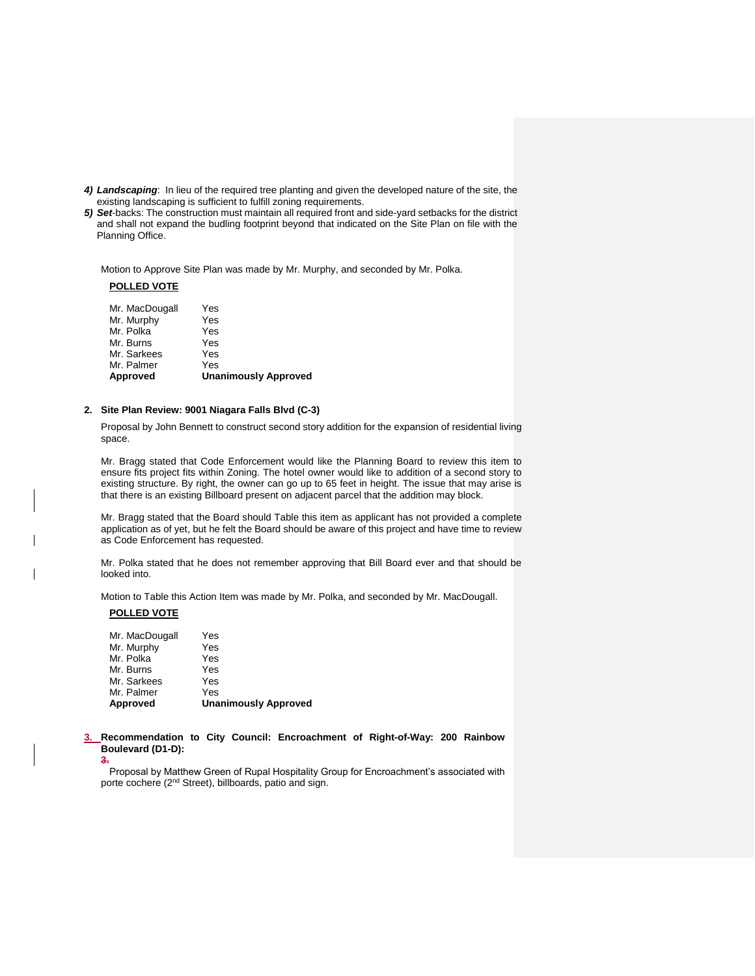- *4) Landscaping*: In lieu of the required tree planting and given the developed nature of the site, the existing landscaping is sufficient to fulfill zoning requirements.
- *5) Set*-backs: The construction must maintain all required front and side-yard setbacks for the district and shall not expand the budling footprint beyond that indicated on the Site Plan on file with the Planning Office.

Motion to Approve Site Plan was made by Mr. Murphy, and seconded by Mr. Polka.

### **POLLED VOTE**

| Approved       | <b>Unanimously Approved</b> |
|----------------|-----------------------------|
| Mr. Palmer     | Yes                         |
| Mr. Sarkees    | Yes                         |
| Mr. Burns      | Yes                         |
| Mr. Polka      | Yes                         |
| Mr. Murphy     | Yes                         |
| Mr. MacDougall | Yes                         |
|                |                             |

#### **2. Site Plan Review: 9001 Niagara Falls Blvd (C-3)**

Proposal by John Bennett to construct second story addition for the expansion of residential living space.

Mr. Bragg stated that Code Enforcement would like the Planning Board to review this item to ensure fits project fits within Zoning. The hotel owner would like to addition of a second story to existing structure. By right, the owner can go up to 65 feet in height. The issue that may arise is that there is an existing Billboard present on adjacent parcel that the addition may block.

Mr. Bragg stated that the Board should Table this item as applicant has not provided a complete application as of yet, but he felt the Board should be aware of this project and have time to review as Code Enforcement has requested.

Mr. Polka stated that he does not remember approving that Bill Board ever and that should be looked into.

Motion to Table this Action Item was made by Mr. Polka, and seconded by Mr. MacDougall.

#### **POLLED VOTE**

| Mr. MacDougall | Yes                         |
|----------------|-----------------------------|
| Mr. Murphy     | Yes                         |
| Mr. Polka      | Yes                         |
| Mr. Burns      | Yes                         |
| Mr. Sarkees    | Yes                         |
| Mr. Palmer     | Yes                         |
| Approved       | <b>Unanimously Approved</b> |
|                |                             |

**3. Recommendation to City Council: Encroachment of Right-of-Way: 200 Rainbow Boulevard (D1-D): 3.**

Proposal by Matthew Green of Rupal Hospitality Group for Encroachment's associated with porte cochere (2<sup>nd</sup> Street), billboards, patio and sign.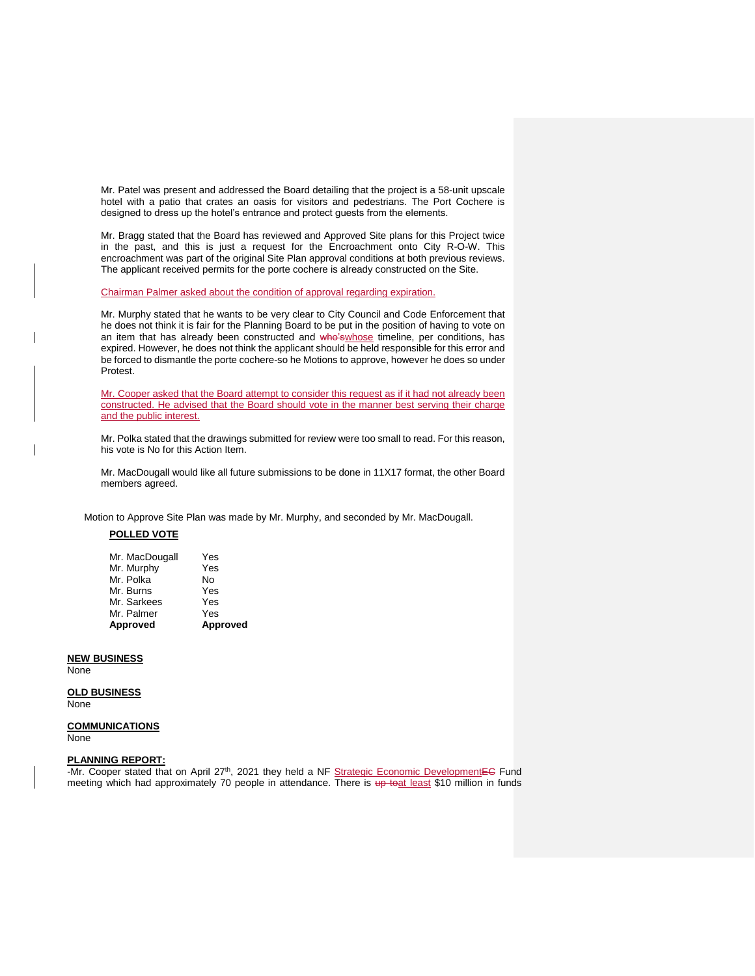Mr. Patel was present and addressed the Board detailing that the project is a 58-unit upscale hotel with a patio that crates an oasis for visitors and pedestrians. The Port Cochere is designed to dress up the hotel's entrance and protect guests from the elements.

Mr. Bragg stated that the Board has reviewed and Approved Site plans for this Project twice in the past, and this is just a request for the Encroachment onto City R-O-W. This encroachment was part of the original Site Plan approval conditions at both previous reviews. The applicant received permits for the porte cochere is already constructed on the Site.

Chairman Palmer asked about the condition of approval regarding expiration.

Mr. Murphy stated that he wants to be very clear to City Council and Code Enforcement that he does not think it is fair for the Planning Board to be put in the position of having to vote on an item that has already been constructed and who'swhose timeline, per conditions, has expired. However, he does not think the applicant should be held responsible for this error and be forced to dismantle the porte cochere-so he Motions to approve, however he does so under Protest.

Mr. Cooper asked that the Board attempt to consider this request as if it had not already been constructed. He advised that the Board should vote in the manner best serving their charge and the public interest.

Mr. Polka stated that the drawings submitted for review were too small to read. For this reason, his vote is No for this Action Item.

Mr. MacDougall would like all future submissions to be done in 11X17 format, the other Board members agreed.

Motion to Approve Site Plan was made by Mr. Murphy, and seconded by Mr. MacDougall.

## **POLLED VOTE**

| Approved       | Approved |
|----------------|----------|
| Mr. Palmer     | Yes      |
| Mr. Sarkees    | Yes      |
| Mr. Burns      | Yes      |
| Mr. Polka      | No       |
| Mr. Murphy     | Yes      |
| Mr. MacDougall | Yes      |

## **NEW BUSINESS**

None

#### **OLD BUSINESS** None

#### **COMMUNICATIONS** None

#### **PLANNING REPORT:**

-Mr. Cooper stated that on April 27<sup>th</sup>, 2021 they held a NF Strategic Economic DevelopmentEC Fund meeting which had approximately 70 people in attendance. There is up toat least \$10 million in funds